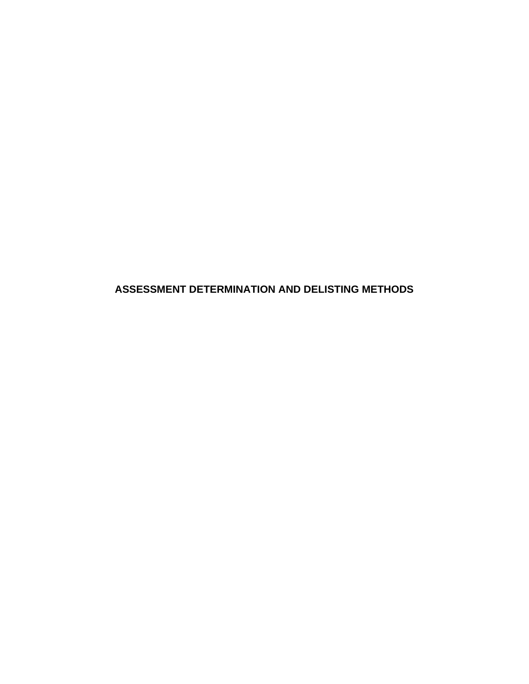**ASSESSMENT DETERMINATION AND DELISTING METHODS**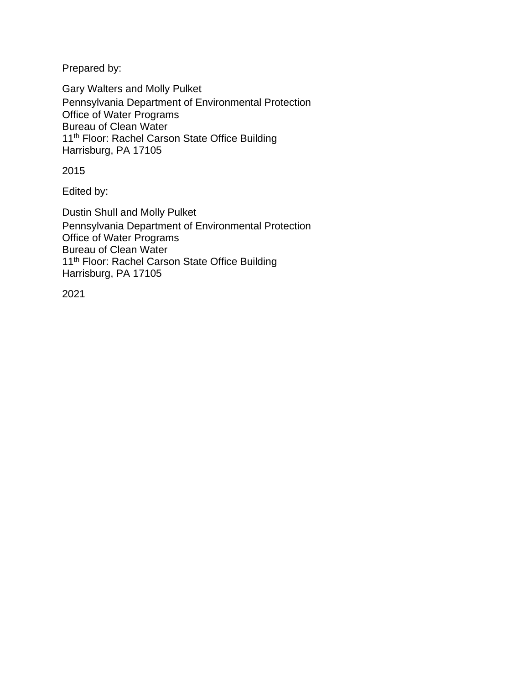Prepared by:

Gary Walters and Molly Pulket Pennsylvania Department of Environmental Protection Office of Water Programs Bureau of Clean Water 11<sup>th</sup> Floor: Rachel Carson State Office Building Harrisburg, PA 17105

2015

Edited by:

Dustin Shull and Molly Pulket Pennsylvania Department of Environmental Protection Office of Water Programs Bureau of Clean Water 11<sup>th</sup> Floor: Rachel Carson State Office Building Harrisburg, PA 17105

2021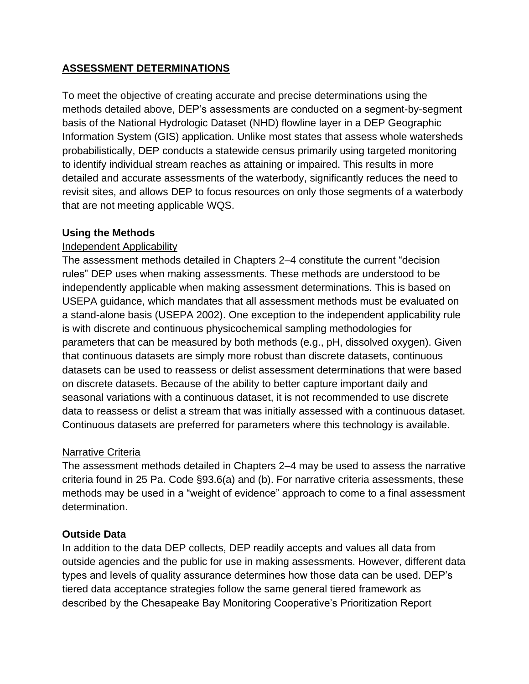# **ASSESSMENT DETERMINATIONS**

To meet the objective of creating accurate and precise determinations using the methods detailed above, DEP's assessments are conducted on a segment-by-segment basis of the National Hydrologic Dataset (NHD) flowline layer in a DEP Geographic Information System (GIS) application. Unlike most states that assess whole watersheds probabilistically, DEP conducts a statewide census primarily using targeted monitoring to identify individual stream reaches as attaining or impaired. This results in more detailed and accurate assessments of the waterbody, significantly reduces the need to revisit sites, and allows DEP to focus resources on only those segments of a waterbody that are not meeting applicable WQS.

### **Using the Methods**

## Independent Applicability

The assessment methods detailed in Chapters 2–4 constitute the current "decision rules" DEP uses when making assessments. These methods are understood to be independently applicable when making assessment determinations. This is based on USEPA guidance, which mandates that all assessment methods must be evaluated on a stand-alone basis (USEPA 2002). One exception to the independent applicability rule is with discrete and continuous physicochemical sampling methodologies for parameters that can be measured by both methods (e.g., pH, dissolved oxygen). Given that continuous datasets are simply more robust than discrete datasets, continuous datasets can be used to reassess or delist assessment determinations that were based on discrete datasets. Because of the ability to better capture important daily and seasonal variations with a continuous dataset, it is not recommended to use discrete data to reassess or delist a stream that was initially assessed with a continuous dataset. Continuous datasets are preferred for parameters where this technology is available.

## Narrative Criteria

The assessment methods detailed in Chapters 2–4 may be used to assess the narrative criteria found in 25 Pa. Code §93.6(a) and (b). For narrative criteria assessments, these methods may be used in a "weight of evidence" approach to come to a final assessment determination.

## **Outside Data**

In addition to the data DEP collects, DEP readily accepts and values all data from outside agencies and the public for use in making assessments. However, different data types and levels of quality assurance determines how those data can be used. DEP's tiered data acceptance strategies follow the same general tiered framework as described by the Chesapeake Bay Monitoring Cooperative's Prioritization Report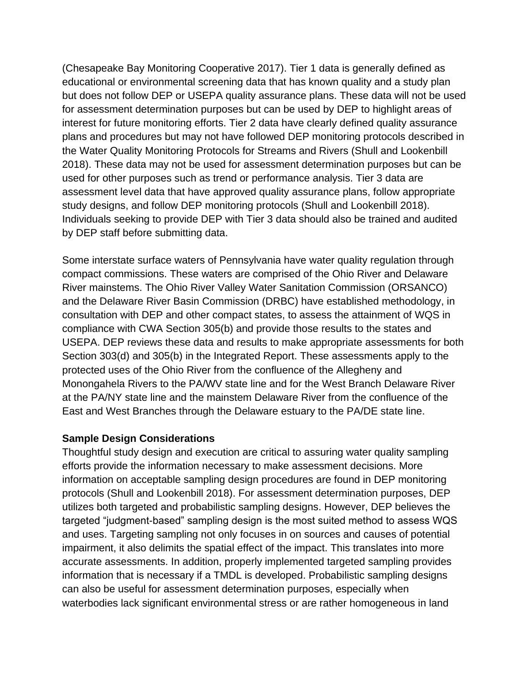(Chesapeake Bay Monitoring Cooperative 2017). Tier 1 data is generally defined as educational or environmental screening data that has known quality and a study plan but does not follow DEP or USEPA quality assurance plans. These data will not be used for assessment determination purposes but can be used by DEP to highlight areas of interest for future monitoring efforts. Tier 2 data have clearly defined quality assurance plans and procedures but may not have followed DEP monitoring protocols described in the Water Quality Monitoring Protocols for Streams and Rivers (Shull and Lookenbill 2018). These data may not be used for assessment determination purposes but can be used for other purposes such as trend or performance analysis. Tier 3 data are assessment level data that have approved quality assurance plans, follow appropriate study designs, and follow DEP monitoring protocols (Shull and Lookenbill 2018). Individuals seeking to provide DEP with Tier 3 data should also be trained and audited by DEP staff before submitting data.

Some interstate surface waters of Pennsylvania have water quality regulation through compact commissions. These waters are comprised of the Ohio River and Delaware River mainstems. The Ohio River Valley Water Sanitation Commission (ORSANCO) and the Delaware River Basin Commission (DRBC) have established methodology, in consultation with DEP and other compact states, to assess the attainment of WQS in compliance with CWA Section 305(b) and provide those results to the states and USEPA. DEP reviews these data and results to make appropriate assessments for both Section 303(d) and 305(b) in the Integrated Report. These assessments apply to the protected uses of the Ohio River from the confluence of the Allegheny and Monongahela Rivers to the PA/WV state line and for the West Branch Delaware River at the PA/NY state line and the mainstem Delaware River from the confluence of the East and West Branches through the Delaware estuary to the PA/DE state line.

### **Sample Design Considerations**

Thoughtful study design and execution are critical to assuring water quality sampling efforts provide the information necessary to make assessment decisions. More information on acceptable sampling design procedures are found in DEP monitoring protocols (Shull and Lookenbill 2018). For assessment determination purposes, DEP utilizes both targeted and probabilistic sampling designs. However, DEP believes the targeted "judgment-based" sampling design is the most suited method to assess WQS and uses. Targeting sampling not only focuses in on sources and causes of potential impairment, it also delimits the spatial effect of the impact. This translates into more accurate assessments. In addition, properly implemented targeted sampling provides information that is necessary if a TMDL is developed. Probabilistic sampling designs can also be useful for assessment determination purposes, especially when waterbodies lack significant environmental stress or are rather homogeneous in land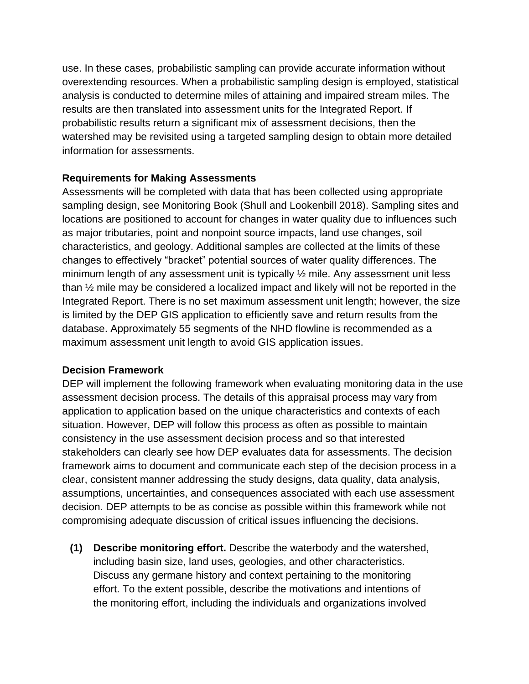use. In these cases, probabilistic sampling can provide accurate information without overextending resources. When a probabilistic sampling design is employed, statistical analysis is conducted to determine miles of attaining and impaired stream miles. The results are then translated into assessment units for the Integrated Report. If probabilistic results return a significant mix of assessment decisions, then the watershed may be revisited using a targeted sampling design to obtain more detailed information for assessments.

## **Requirements for Making Assessments**

Assessments will be completed with data that has been collected using appropriate sampling design, see Monitoring Book (Shull and Lookenbill 2018). Sampling sites and locations are positioned to account for changes in water quality due to influences such as major tributaries, point and nonpoint source impacts, land use changes, soil characteristics, and geology. Additional samples are collected at the limits of these changes to effectively "bracket" potential sources of water quality differences. The minimum length of any assessment unit is typically  $\frac{1}{2}$  mile. Any assessment unit less than ½ mile may be considered a localized impact and likely will not be reported in the Integrated Report. There is no set maximum assessment unit length; however, the size is limited by the DEP GIS application to efficiently save and return results from the database. Approximately 55 segments of the NHD flowline is recommended as a maximum assessment unit length to avoid GIS application issues.

### **Decision Framework**

DEP will implement the following framework when evaluating monitoring data in the use assessment decision process. The details of this appraisal process may vary from application to application based on the unique characteristics and contexts of each situation. However, DEP will follow this process as often as possible to maintain consistency in the use assessment decision process and so that interested stakeholders can clearly see how DEP evaluates data for assessments. The decision framework aims to document and communicate each step of the decision process in a clear, consistent manner addressing the study designs, data quality, data analysis, assumptions, uncertainties, and consequences associated with each use assessment decision. DEP attempts to be as concise as possible within this framework while not compromising adequate discussion of critical issues influencing the decisions.

**(1) Describe monitoring effort.** Describe the waterbody and the watershed, including basin size, land uses, geologies, and other characteristics. Discuss any germane history and context pertaining to the monitoring effort. To the extent possible, describe the motivations and intentions of the monitoring effort, including the individuals and organizations involved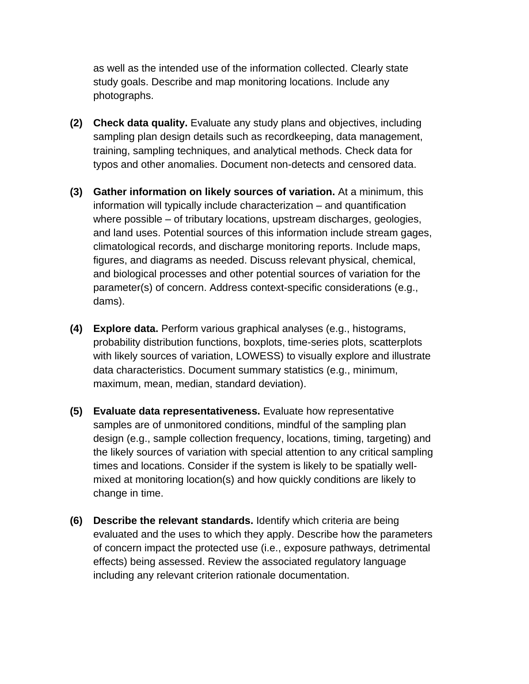as well as the intended use of the information collected. Clearly state study goals. Describe and map monitoring locations. Include any photographs.

- **(2) Check data quality.** Evaluate any study plans and objectives, including sampling plan design details such as recordkeeping, data management, training, sampling techniques, and analytical methods. Check data for typos and other anomalies. Document non-detects and censored data.
- **(3) Gather information on likely sources of variation.** At a minimum, this information will typically include characterization – and quantification where possible – of tributary locations, upstream discharges, geologies, and land uses. Potential sources of this information include stream gages, climatological records, and discharge monitoring reports. Include maps, figures, and diagrams as needed. Discuss relevant physical, chemical, and biological processes and other potential sources of variation for the parameter(s) of concern. Address context-specific considerations (e.g., dams).
- **(4) Explore data.** Perform various graphical analyses (e.g., histograms, probability distribution functions, boxplots, time-series plots, scatterplots with likely sources of variation, LOWESS) to visually explore and illustrate data characteristics. Document summary statistics (e.g., minimum, maximum, mean, median, standard deviation).
- **(5) Evaluate data representativeness.** Evaluate how representative samples are of unmonitored conditions, mindful of the sampling plan design (e.g., sample collection frequency, locations, timing, targeting) and the likely sources of variation with special attention to any critical sampling times and locations. Consider if the system is likely to be spatially wellmixed at monitoring location(s) and how quickly conditions are likely to change in time.
- **(6) Describe the relevant standards.** Identify which criteria are being evaluated and the uses to which they apply. Describe how the parameters of concern impact the protected use (i.e., exposure pathways, detrimental effects) being assessed. Review the associated regulatory language including any relevant criterion rationale documentation.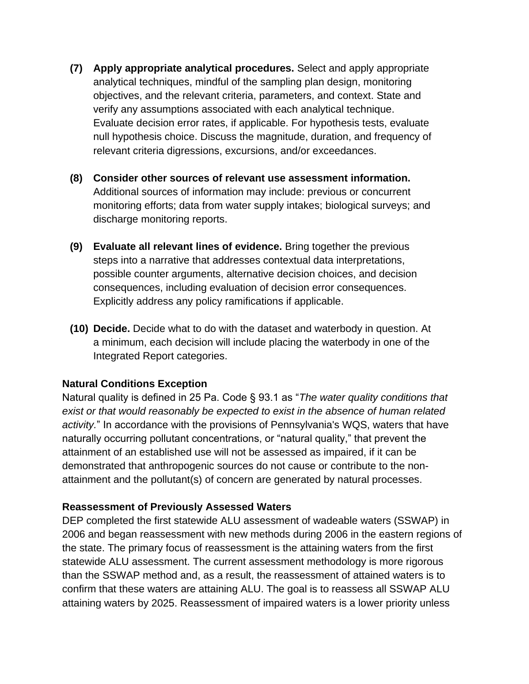- **(7) Apply appropriate analytical procedures.** Select and apply appropriate analytical techniques, mindful of the sampling plan design, monitoring objectives, and the relevant criteria, parameters, and context. State and verify any assumptions associated with each analytical technique. Evaluate decision error rates, if applicable. For hypothesis tests, evaluate null hypothesis choice. Discuss the magnitude, duration, and frequency of relevant criteria digressions, excursions, and/or exceedances.
- **(8) Consider other sources of relevant use assessment information.** Additional sources of information may include: previous or concurrent monitoring efforts; data from water supply intakes; biological surveys; and discharge monitoring reports.
- **(9) Evaluate all relevant lines of evidence.** Bring together the previous steps into a narrative that addresses contextual data interpretations, possible counter arguments, alternative decision choices, and decision consequences, including evaluation of decision error consequences. Explicitly address any policy ramifications if applicable.
- **(10) Decide.** Decide what to do with the dataset and waterbody in question. At a minimum, each decision will include placing the waterbody in one of the Integrated Report categories.

### **Natural Conditions Exception**

Natural quality is defined in 25 Pa. Code § 93.1 as "*The water quality conditions that exist or that would reasonably be expected to exist in the absence of human related activity.*" In accordance with the provisions of Pennsylvania's WQS, waters that have naturally occurring pollutant concentrations, or "natural quality," that prevent the attainment of an established use will not be assessed as impaired, if it can be demonstrated that anthropogenic sources do not cause or contribute to the nonattainment and the pollutant(s) of concern are generated by natural processes.

#### **Reassessment of Previously Assessed Waters**

DEP completed the first statewide ALU assessment of wadeable waters (SSWAP) in 2006 and began reassessment with new methods during 2006 in the eastern regions of the state. The primary focus of reassessment is the attaining waters from the first statewide ALU assessment. The current assessment methodology is more rigorous than the SSWAP method and, as a result, the reassessment of attained waters is to confirm that these waters are attaining ALU. The goal is to reassess all SSWAP ALU attaining waters by 2025. Reassessment of impaired waters is a lower priority unless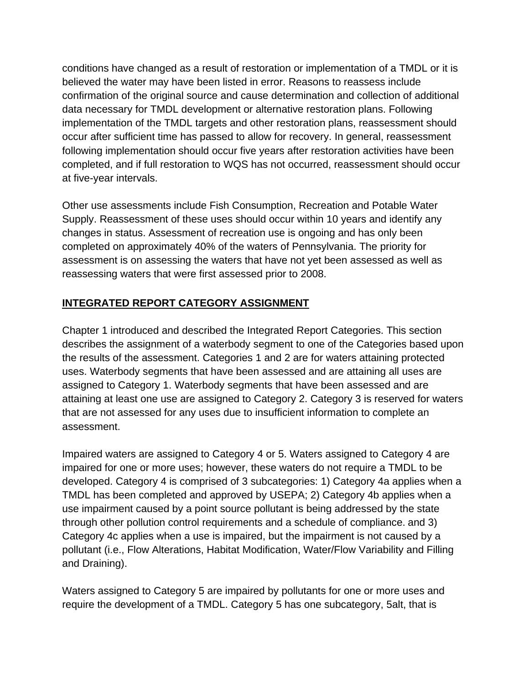conditions have changed as a result of restoration or implementation of a TMDL or it is believed the water may have been listed in error. Reasons to reassess include confirmation of the original source and cause determination and collection of additional data necessary for TMDL development or alternative restoration plans. Following implementation of the TMDL targets and other restoration plans, reassessment should occur after sufficient time has passed to allow for recovery. In general, reassessment following implementation should occur five years after restoration activities have been completed, and if full restoration to WQS has not occurred, reassessment should occur at five-year intervals.

Other use assessments include Fish Consumption, Recreation and Potable Water Supply. Reassessment of these uses should occur within 10 years and identify any changes in status. Assessment of recreation use is ongoing and has only been completed on approximately 40% of the waters of Pennsylvania. The priority for assessment is on assessing the waters that have not yet been assessed as well as reassessing waters that were first assessed prior to 2008.

# **INTEGRATED REPORT CATEGORY ASSIGNMENT**

Chapter 1 introduced and described the Integrated Report Categories. This section describes the assignment of a waterbody segment to one of the Categories based upon the results of the assessment. Categories 1 and 2 are for waters attaining protected uses. Waterbody segments that have been assessed and are attaining all uses are assigned to Category 1. Waterbody segments that have been assessed and are attaining at least one use are assigned to Category 2. Category 3 is reserved for waters that are not assessed for any uses due to insufficient information to complete an assessment.

Impaired waters are assigned to Category 4 or 5. Waters assigned to Category 4 are impaired for one or more uses; however, these waters do not require a TMDL to be developed. Category 4 is comprised of 3 subcategories: 1) Category 4a applies when a TMDL has been completed and approved by USEPA; 2) Category 4b applies when a use impairment caused by a point source pollutant is being addressed by the state through other pollution control requirements and a schedule of compliance. and 3) Category 4c applies when a use is impaired, but the impairment is not caused by a pollutant (i.e., Flow Alterations, Habitat Modification, Water/Flow Variability and Filling and Draining).

Waters assigned to Category 5 are impaired by pollutants for one or more uses and require the development of a TMDL. Category 5 has one subcategory, 5alt, that is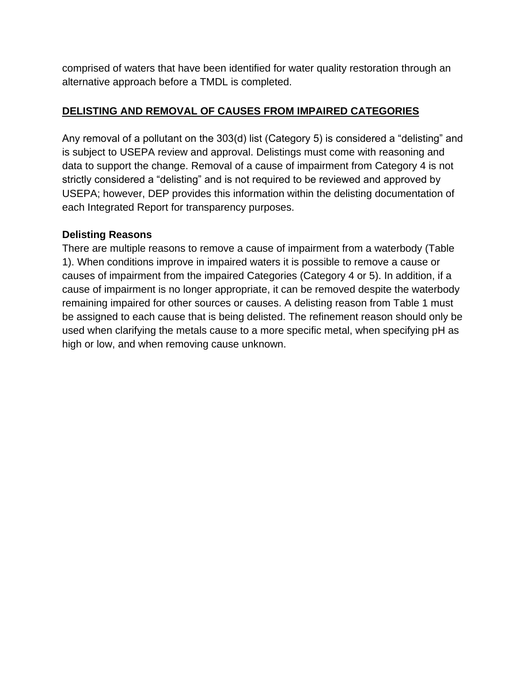comprised of waters that have been identified for water quality restoration through an alternative approach before a TMDL is completed.

# **DELISTING AND REMOVAL OF CAUSES FROM IMPAIRED CATEGORIES**

Any removal of a pollutant on the 303(d) list (Category 5) is considered a "delisting" and is subject to USEPA review and approval. Delistings must come with reasoning and data to support the change. Removal of a cause of impairment from Category 4 is not strictly considered a "delisting" and is not required to be reviewed and approved by USEPA; however, DEP provides this information within the delisting documentation of each Integrated Report for transparency purposes.

# **Delisting Reasons**

There are multiple reasons to remove a cause of impairment from a waterbody (Table 1). When conditions improve in impaired waters it is possible to remove a cause or causes of impairment from the impaired Categories (Category 4 or 5). In addition, if a cause of impairment is no longer appropriate, it can be removed despite the waterbody remaining impaired for other sources or causes. A delisting reason from Table 1 must be assigned to each cause that is being delisted. The refinement reason should only be used when clarifying the metals cause to a more specific metal, when specifying pH as high or low, and when removing cause unknown.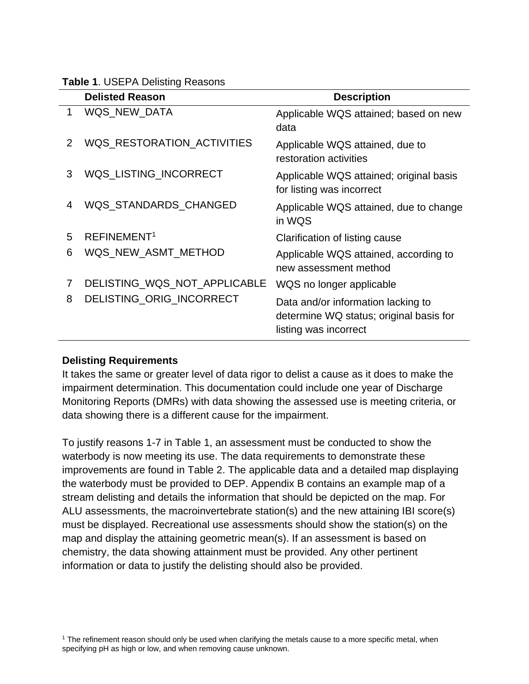|  |  |  | <b>Table 1. USEPA Delisting Reasons</b> |  |
|--|--|--|-----------------------------------------|--|
|--|--|--|-----------------------------------------|--|

|   | <b>Delisted Reason</b>       | <b>Description</b>                                                                                     |
|---|------------------------------|--------------------------------------------------------------------------------------------------------|
| 1 | WQS_NEW_DATA                 | Applicable WQS attained; based on new<br>data                                                          |
| 2 | WQS_RESTORATION_ACTIVITIES   | Applicable WQS attained, due to<br>restoration activities                                              |
| 3 | WQS_LISTING_INCORRECT        | Applicable WQS attained; original basis<br>for listing was incorrect                                   |
| 4 | WQS_STANDARDS_CHANGED        | Applicable WQS attained, due to change<br>in WQS                                                       |
| 5 | REFINEMENT <sup>1</sup>      | Clarification of listing cause                                                                         |
| 6 | WQS_NEW_ASMT_METHOD          | Applicable WQS attained, according to<br>new assessment method                                         |
| 7 | DELISTING_WQS_NOT_APPLICABLE | WQS no longer applicable                                                                               |
| 8 | DELISTING_ORIG_INCORRECT     | Data and/or information lacking to<br>determine WQ status; original basis for<br>listing was incorrect |

### **Delisting Requirements**

It takes the same or greater level of data rigor to delist a cause as it does to make the impairment determination. This documentation could include one year of Discharge Monitoring Reports (DMRs) with data showing the assessed use is meeting criteria, or data showing there is a different cause for the impairment.

To justify reasons 1-7 in Table 1, an assessment must be conducted to show the waterbody is now meeting its use. The data requirements to demonstrate these improvements are found in Table 2. The applicable data and a detailed map displaying the waterbody must be provided to DEP. Appendix B contains an example map of a stream delisting and details the information that should be depicted on the map. For ALU assessments, the macroinvertebrate station(s) and the new attaining IBI score(s) must be displayed. Recreational use assessments should show the station(s) on the map and display the attaining geometric mean(s). If an assessment is based on chemistry, the data showing attainment must be provided. Any other pertinent information or data to justify the delisting should also be provided.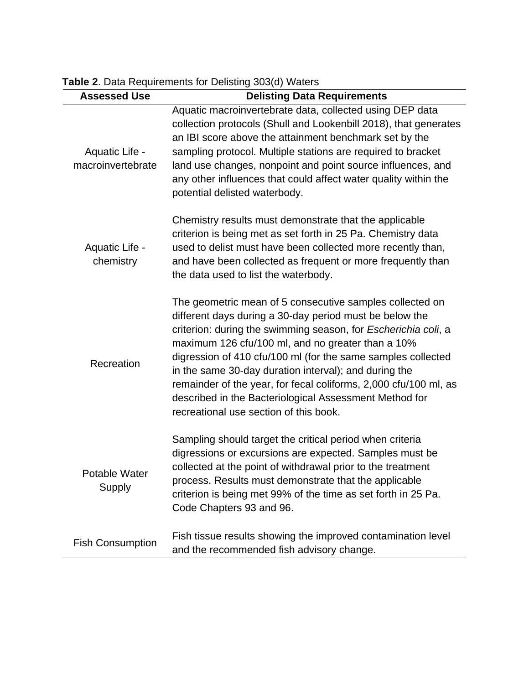| <b>Assessed Use</b>                 | <b>Delisting Data Requirements</b>                                                                                                                                                                                                                                                                                                                                                                                                                                                                                                          |
|-------------------------------------|---------------------------------------------------------------------------------------------------------------------------------------------------------------------------------------------------------------------------------------------------------------------------------------------------------------------------------------------------------------------------------------------------------------------------------------------------------------------------------------------------------------------------------------------|
| Aquatic Life -<br>macroinvertebrate | Aquatic macroinvertebrate data, collected using DEP data<br>collection protocols (Shull and Lookenbill 2018), that generates<br>an IBI score above the attainment benchmark set by the<br>sampling protocol. Multiple stations are required to bracket<br>land use changes, nonpoint and point source influences, and<br>any other influences that could affect water quality within the<br>potential delisted waterbody.                                                                                                                   |
| Aquatic Life -<br>chemistry         | Chemistry results must demonstrate that the applicable<br>criterion is being met as set forth in 25 Pa. Chemistry data<br>used to delist must have been collected more recently than,<br>and have been collected as frequent or more frequently than<br>the data used to list the waterbody.                                                                                                                                                                                                                                                |
| Recreation                          | The geometric mean of 5 consecutive samples collected on<br>different days during a 30-day period must be below the<br>criterion: during the swimming season, for Escherichia coli, a<br>maximum 126 cfu/100 ml, and no greater than a 10%<br>digression of 410 cfu/100 ml (for the same samples collected<br>in the same 30-day duration interval); and during the<br>remainder of the year, for fecal coliforms, 2,000 cfu/100 ml, as<br>described in the Bacteriological Assessment Method for<br>recreational use section of this book. |
| Potable Water<br>Supply             | Sampling should target the critical period when criteria<br>digressions or excursions are expected. Samples must be<br>collected at the point of withdrawal prior to the treatment<br>process. Results must demonstrate that the applicable<br>criterion is being met 99% of the time as set forth in 25 Pa.<br>Code Chapters 93 and 96.                                                                                                                                                                                                    |
| <b>Fish Consumption</b>             | Fish tissue results showing the improved contamination level<br>and the recommended fish advisory change.                                                                                                                                                                                                                                                                                                                                                                                                                                   |

**Table 2**. Data Requirements for Delisting 303(d) Waters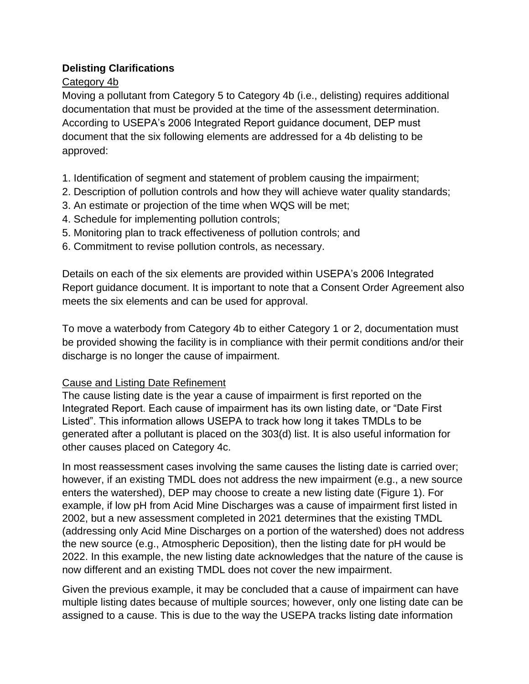# **Delisting Clarifications**

# Category 4b

Moving a pollutant from Category 5 to Category 4b (i.e., delisting) requires additional documentation that must be provided at the time of the assessment determination. According to USEPA's 2006 Integrated Report guidance document, DEP must document that the six following elements are addressed for a 4b delisting to be approved:

- 1. Identification of segment and statement of problem causing the impairment;
- 2. Description of pollution controls and how they will achieve water quality standards;
- 3. An estimate or projection of the time when WQS will be met;
- 4. Schedule for implementing pollution controls;
- 5. Monitoring plan to track effectiveness of pollution controls; and
- 6. Commitment to revise pollution controls, as necessary.

Details on each of the six elements are provided within USEPA's 2006 Integrated Report guidance document. It is important to note that a Consent Order Agreement also meets the six elements and can be used for approval.

To move a waterbody from Category 4b to either Category 1 or 2, documentation must be provided showing the facility is in compliance with their permit conditions and/or their discharge is no longer the cause of impairment.

## Cause and Listing Date Refinement

The cause listing date is the year a cause of impairment is first reported on the Integrated Report. Each cause of impairment has its own listing date, or "Date First Listed". This information allows USEPA to track how long it takes TMDLs to be generated after a pollutant is placed on the 303(d) list. It is also useful information for other causes placed on Category 4c.

In most reassessment cases involving the same causes the listing date is carried over; however, if an existing TMDL does not address the new impairment (e.g., a new source enters the watershed), DEP may choose to create a new listing date (Figure 1). For example, if low pH from Acid Mine Discharges was a cause of impairment first listed in 2002, but a new assessment completed in 2021 determines that the existing TMDL (addressing only Acid Mine Discharges on a portion of the watershed) does not address the new source (e.g., Atmospheric Deposition), then the listing date for pH would be 2022. In this example, the new listing date acknowledges that the nature of the cause is now different and an existing TMDL does not cover the new impairment.

Given the previous example, it may be concluded that a cause of impairment can have multiple listing dates because of multiple sources; however, only one listing date can be assigned to a cause. This is due to the way the USEPA tracks listing date information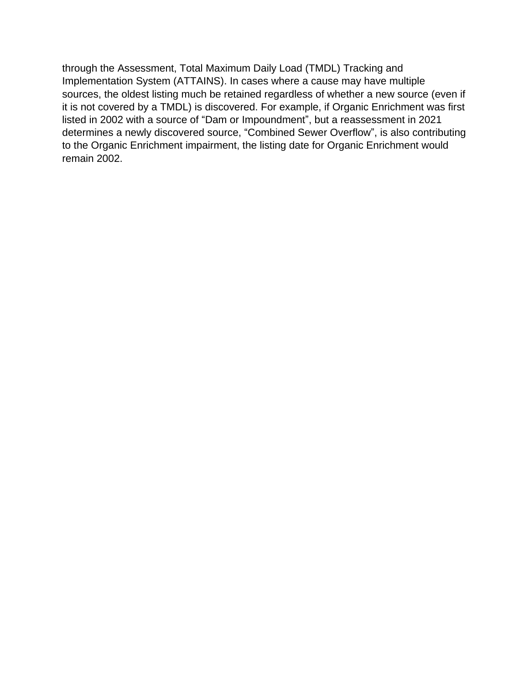through the Assessment, Total Maximum Daily Load (TMDL) Tracking and Implementation System (ATTAINS). In cases where a cause may have multiple sources, the oldest listing much be retained regardless of whether a new source (even if it is not covered by a TMDL) is discovered. For example, if Organic Enrichment was first listed in 2002 with a source of "Dam or Impoundment", but a reassessment in 2021 determines a newly discovered source, "Combined Sewer Overflow", is also contributing to the Organic Enrichment impairment, the listing date for Organic Enrichment would remain 2002.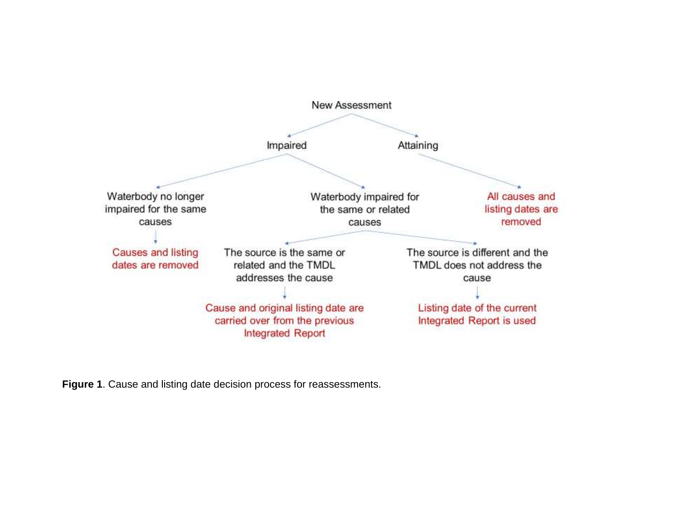

**Figure 1**. Cause and listing date decision process for reassessments.